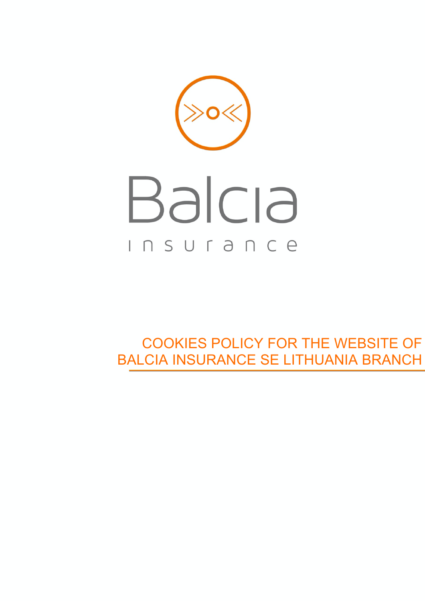# Balcia INSUrance

COOKIES POLICY FOR THE WEBSITE OF BALCIA INSURANCE SE LITHUANIA BRANCH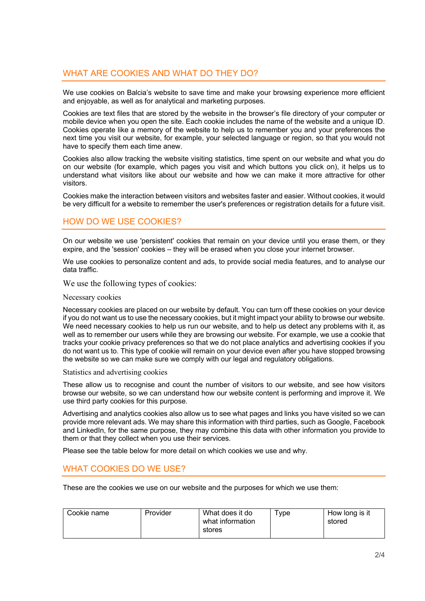# WHAT ARE COOKIES AND WHAT DO THEY DO?

We use cookies on Balcia's website to save time and make your browsing experience more efficient and enjoyable, as well as for analytical and marketing purposes.

Cookies are text files that are stored by the website in the browser's file directory of your computer or mobile device when you open the site. Each cookie includes the name of the website and a unique ID. Cookies operate like a memory of the website to help us to remember you and your preferences the next time you visit our website, for example, your selected language or region, so that you would not have to specify them each time anew.

Cookies also allow tracking the website visiting statistics, time spent on our website and what you do on our website (for example, which pages you visit and which buttons you click on), it helps us to understand what visitors like about our website and how we can make it more attractive for other visitors.

Cookies make the interaction between visitors and websites faster and easier. Without cookies, it would be very difficult for a website to remember the user's preferences or registration details for a future visit.

# HOW DO WE USE COOKIES?

On our website we use 'persistent' cookies that remain on your device until you erase them, or they expire, and the 'session' cookies – they will be erased when you close your internet browser.

We use cookies to personalize content and ads, to provide social media features, and to analyse our data traffic.

We use the following types of cookies:

### Necessary cookies

Necessary cookies are placed on our website by default. You can turn off these cookies on your device if you do not want us to use the necessary cookies, but it might impact your ability to browse our website. We need necessary cookies to help us run our website, and to help us detect any problems with it, as well as to remember our users while they are browsing our website. For example, we use a cookie that tracks your cookie privacy preferences so that we do not place analytics and advertising cookies if you do not want us to. This type of cookie will remain on your device even after you have stopped browsing the website so we can make sure we comply with our legal and regulatory obligations.

### Statistics and advertising cookies

These allow us to recognise and count the number of visitors to our website, and see how visitors browse our website, so we can understand how our website content is performing and improve it. We use third party cookies for this purpose.

Advertising and analytics cookies also allow us to see what pages and links you have visited so we can provide more relevant ads. We may share this information with third parties, such as Google, Facebook and LinkedIn, for the same purpose, they may combine this data with other information you provide to them or that they collect when you use their services.

Please see the table below for more detail on which cookies we use and why.

# WHAT COOKIES DO WE USE?

These are the cookies we use on our website and the purposes for which we use them:

| what information<br>stored<br>stores | Cookie name | Provider | What does it do | vpe ' | How long is it |
|--------------------------------------|-------------|----------|-----------------|-------|----------------|
|--------------------------------------|-------------|----------|-----------------|-------|----------------|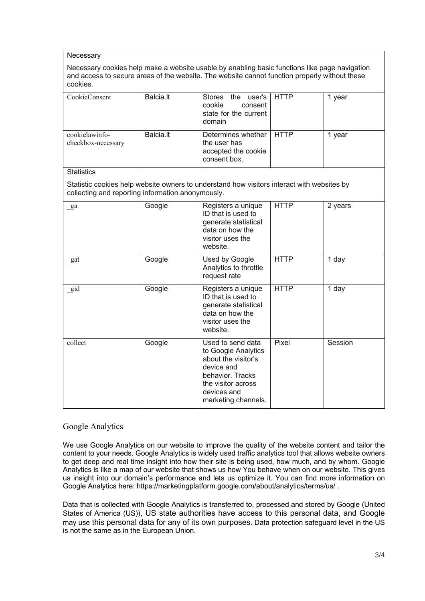### **Necessary**

Necessary cookies help make a website usable by enabling basic functions like page navigation and access to secure areas of the website. The website cannot function properly without these cookies.

| CookieConsent                                                                                                                                   | Balcia.lt | Stores the<br>user's<br>cookie<br>consent<br>state for the current<br>domain                                                                                  | <b>HTTP</b> | 1 year  |  |  |  |  |
|-------------------------------------------------------------------------------------------------------------------------------------------------|-----------|---------------------------------------------------------------------------------------------------------------------------------------------------------------|-------------|---------|--|--|--|--|
| cookielawinfo-<br>checkbox-necessary                                                                                                            | Balcia.lt | Determines whether<br>the user has<br>accepted the cookie<br>consent box.                                                                                     | <b>HTTP</b> | 1 year  |  |  |  |  |
| <b>Statistics</b>                                                                                                                               |           |                                                                                                                                                               |             |         |  |  |  |  |
| Statistic cookies help website owners to understand how visitors interact with websites by<br>collecting and reporting information anonymously. |           |                                                                                                                                                               |             |         |  |  |  |  |
| $\mathbf{g}$ a                                                                                                                                  | Google    | Registers a unique<br>ID that is used to<br>generate statistical<br>data on how the<br>visitor uses the<br>website.                                           | <b>HTTP</b> | 2 years |  |  |  |  |
| _gat                                                                                                                                            | Google    | Used by Google<br>Analytics to throttle<br>request rate                                                                                                       | <b>HTTP</b> | 1 day   |  |  |  |  |
| gid                                                                                                                                             | Google    | Registers a unique<br>ID that is used to<br>generate statistical<br>data on how the<br>visitor uses the<br>website.                                           | <b>HTTP</b> | 1 day   |  |  |  |  |
| collect                                                                                                                                         | Google    | Used to send data<br>to Google Analytics<br>about the visitor's<br>device and<br>behavior. Tracks<br>the visitor across<br>devices and<br>marketing channels. | Pixel       | Session |  |  |  |  |

## Google Analytics

We use Google Analytics on our website to improve the quality of the website content and tailor the content to your needs. Google Analytics is widely used traffic analytics tool that allows website owners to get deep and real time insight into how their site is being used, how much, and by whom. Google Analytics is like a map of our website that shows us how You behave when on our website. This gives us insight into our domain's performance and lets us optimize it. You can find more information on Google Analytics here: https://marketingplatform.google.com/about/analytics/terms/us/ .

Data that is collected with Google Analytics is transferred to, processed and stored by Google (United States of America (US)), US state authorities have access to this personal data, and Google may use this personal data for any of its own purposes. Data protection safeguard level in the US is not the same as in the European Union.